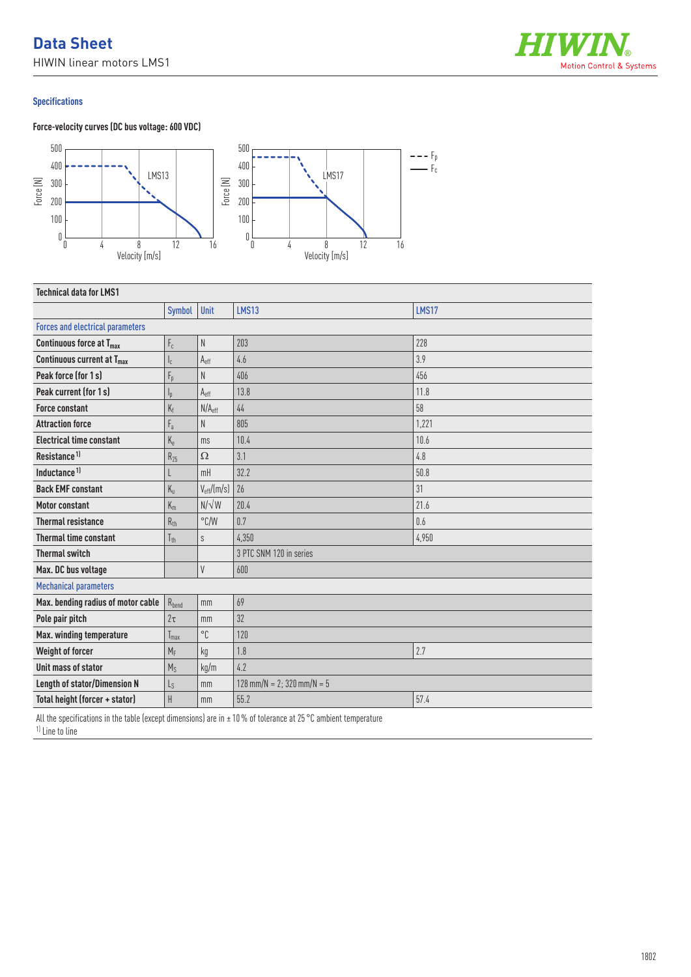# **Data Sheet** HIWIN linear motors LMS1



# **Specifications**



| <b>Technical data for LMS1</b>          |                         |                        |                              |              |  |
|-----------------------------------------|-------------------------|------------------------|------------------------------|--------------|--|
|                                         | Symbol                  | Unit                   | <b>LMS13</b>                 | <b>LMS17</b> |  |
| <b>Forces and electrical parameters</b> |                         |                        |                              |              |  |
| Continuous force at $T_{\text{max}}$    | $\mathsf{F}_{\rm c}$    | N                      | 203                          | 228          |  |
| Continuous current at T <sub>max</sub>  | $\mathsf{I}_\mathsf{C}$ | $A_{\rm eff}$          | 4.6                          | 3.9          |  |
| Peak force (for 1s)                     | $F_p$                   | N                      | 406                          | 456          |  |
| Peak current (for 1s)                   | $I_{p}$                 | $A_{\text{eff}}$       | 13.8                         | 11.8         |  |
| <b>Force constant</b>                   | $K_f$                   | N/A <sub>eff</sub>     | 44                           | 58           |  |
| <b>Attraction force</b>                 | $F_a$                   | N                      | 805                          | 1,221        |  |
| <b>Electrical time constant</b>         | $K_{\rm e}$             | ms                     | 10.4                         | 10.6         |  |
| Resistance <sup>1)</sup>                | $R_{25}$                | $\Omega$               | 3.1                          | 4.8          |  |
| Inductance <sup>1)</sup>                |                         | mH                     | 32.2                         | 50.8         |  |
| <b>Back EMF constant</b>                | $K_{u}$                 | $V_{\text{eff}}/(m/s)$ | 26                           | 31           |  |
| <b>Motor constant</b>                   | $K_m$                   | $N/\sqrt{W}$           | 20.4                         | 21.6         |  |
| <b>Thermal resistance</b>               | $R_{th}$                | $\degree$ C/W          | 0.7                          | 0.6          |  |
| <b>Thermal time constant</b>            | $T_{th}$                | S                      | 4,350                        | 4,950        |  |
| <b>Thermal switch</b>                   |                         |                        | 3 PTC SNM 120 in series      |              |  |
| Max. DC bus voltage                     |                         | V                      | 600                          |              |  |
| <b>Mechanical parameters</b>            |                         |                        |                              |              |  |
| Max. bending radius of motor cable      | $R_{bend}$              | mm                     | 69                           |              |  |
| Pole pair pitch                         | $2\tau$                 | mm                     | 32                           |              |  |
| Max. winding temperature                | $T_{\text{max}}$        | °C                     | 120                          |              |  |
| Weight of forcer                        | $M_F$                   | kg                     | 1.8                          | 2.7          |  |
| Unit mass of stator                     | $M_S$                   | kg/m                   | 4.2                          |              |  |
| <b>Length of stator/Dimension N</b>     | $L_{S}$                 | mm                     | $128$ mm/N = 2; 320 mm/N = 5 |              |  |
| Total height (forcer + stator)          | H                       | mm                     | 55.2                         | 57.4         |  |

All the specifications in the table (except dimensions) are in ± 10 % of tolerance at 25 °C ambient temperature

1) Line to line